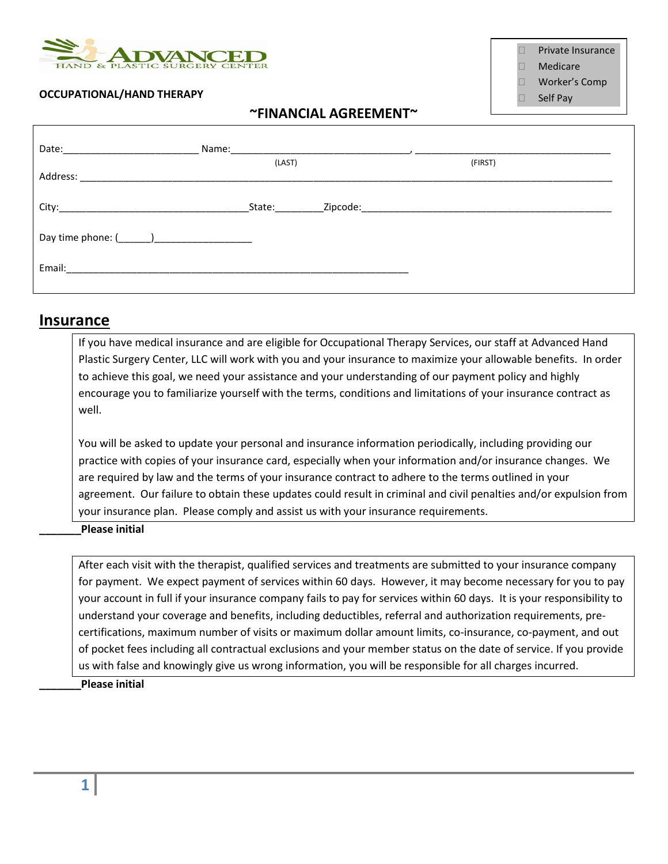

**Private Insurance**  Medicare □ Worker's Comp Self Pay

#### **OCCUPATIONAL/HAND THERAPY**

#### **~FINANCIAL AGREEMENT~**

|        | (LAST) | (FIRST) |  |
|--------|--------|---------|--|
|        | State: |         |  |
|        |        |         |  |
| Email: |        |         |  |

#### **Insurance**

If you have medical insurance and are eligible for Occupational Therapy Services, our staff at Advanced Hand Plastic Surgery Center, LLC will work with you and your insurance to maximize your allowable benefits. In order to achieve this goal, we need your assistance and your understanding of our payment policy and highly encourage you to familiarize yourself with the terms, conditions and limitations of your insurance contract as well.

You will be asked to update your personal and insurance information periodically, including providing our practice with copies of your insurance card, especially when your information and/or insurance changes. We are required by law and the terms of your insurance contract to adhere to the terms outlined in your agreement. Our failure to obtain these updates could result in criminal and civil penalties and/or expulsion from your insurance plan. Please comply and assist us with your insurance requirements.

#### **\_\_\_\_\_\_\_Please initial**

After each visit with the therapist, qualified services and treatments are submitted to your insurance company for payment. We expect payment of services within 60 days. However, it may become necessary for you to pay your account in full if your insurance company fails to pay for services within 60 days. It is your responsibility to understand your coverage and benefits, including deductibles, referral and authorization requirements, precertifications, maximum number of visits or maximum dollar amount limits, co-insurance, co-payment, and out of pocket fees including all contractual exclusions and your member status on the date of service. If you provide us with false and knowingly give us wrong information, you will be responsible for all charges incurred.

**\_\_\_\_\_\_\_Please initial**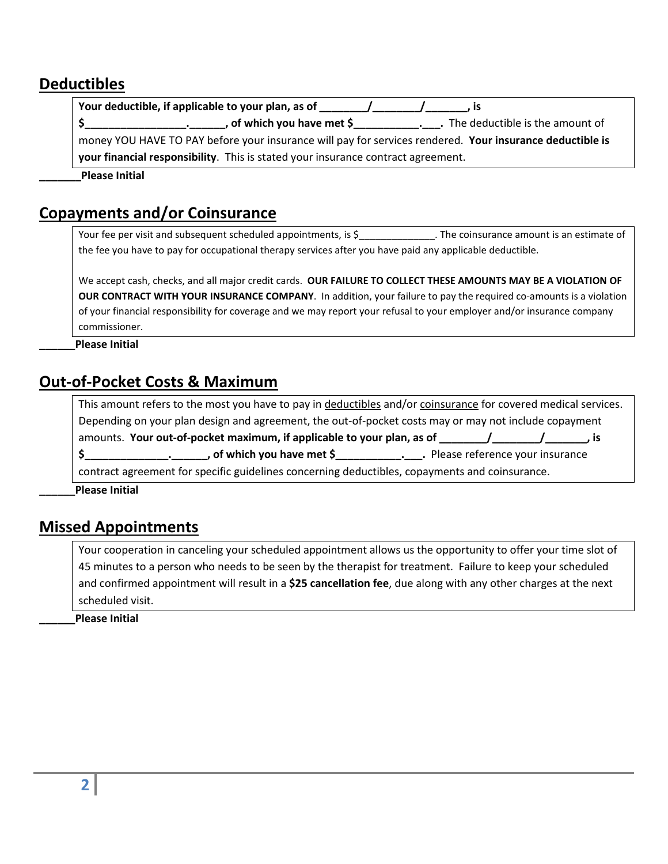## **Deductibles**

**Your deductible, if applicable to your plan, as of \_\_\_\_\_\_\_\_/\_\_\_\_\_\_\_\_/\_\_\_\_\_\_\_, is \$\_\_\_\_\_\_\_\_\_\_\_\_\_\_\_\_\_.\_\_\_\_\_\_, of which you have met \$\_\_\_\_\_\_\_\_\_\_\_.\_\_\_.** The deductible is the amount of money YOU HAVE TO PAY before your insurance will pay for services rendered. **Your insurance deductible is your financial responsibility**. This is stated your insurance contract agreement. **\_\_\_\_\_\_\_Please Initial**

## **Copayments and/or Coinsurance**

Your fee per visit and subsequent scheduled appointments, is \$ The coinsurance amount is an estimate of the fee you have to pay for occupational therapy services after you have paid any applicable deductible.

We accept cash, checks, and all major credit cards. **OUR FAILURE TO COLLECT THESE AMOUNTS MAY BE A VIOLATION OF OUR CONTRACT WITH YOUR INSURANCE COMPANY**. In addition, your failure to pay the required co-amounts is a violation of your financial responsibility for coverage and we may report your refusal to your employer and/or insurance company commissioner.

**\_\_\_\_\_\_Please Initial** 

## **Out-of-Pocket Costs & Maximum**

This amount refers to the most you have to pay in deductibles and/or coinsurance for covered medical services. Depending on your plan design and agreement, the out-of-pocket costs may or may not include copayment amounts. **Your out-of-pocket maximum, if applicable to your plan, as of \_\_\_\_\_\_\_\_/\_\_\_\_\_\_\_\_/\_\_\_\_\_\_\_, is \$\_\_\_\_\_\_\_\_\_\_\_\_\_\_.\_\_\_\_\_\_, of which you have met \$\_\_\_\_\_\_\_\_\_\_\_.\_\_\_.** Please reference your insurance contract agreement for specific guidelines concerning deductibles, copayments and coinsurance.

**\_\_\_\_\_\_Please Initial**

# **Missed Appointments**

Your cooperation in canceling your scheduled appointment allows us the opportunity to offer your time slot of 45 minutes to a person who needs to be seen by the therapist for treatment. Failure to keep your scheduled and confirmed appointment will result in a **\$25 cancellation fee**, due along with any other charges at the next scheduled visit.

**\_\_\_\_\_\_Please Initial**